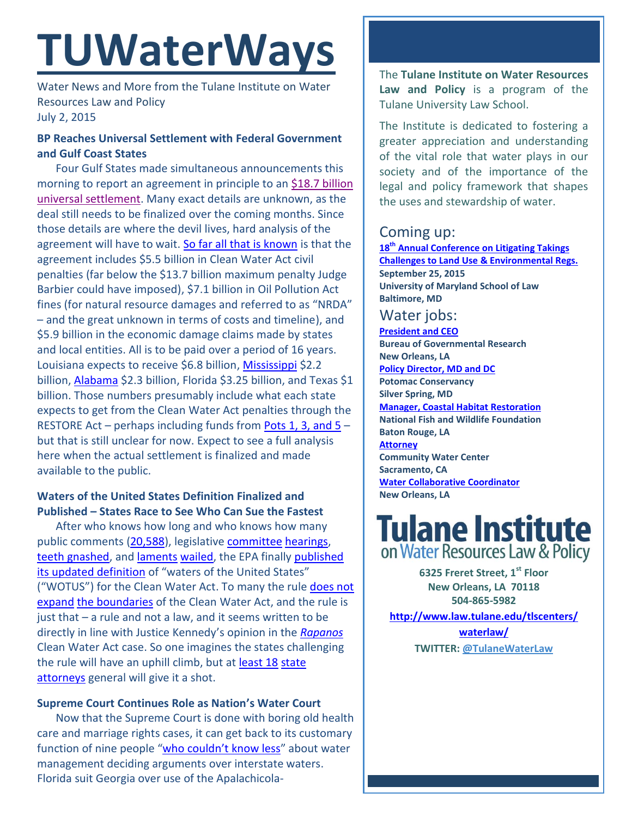# **TUWaterWays**

Water News and More from the Tulane Institute on Water Resources Law and Policy July 2, 2015

## **BP Reaches Universal Settlement with Federal Government and Gulf Coast States**

Four Gulf States made simultaneous announcements this morning to report an agreement in principle to an [\\$18.7 billion](http://www.nola.com/environment/index.ssf/2015/07/bp_to_pay_billion_to_settle_de.html)  [universal settlement.](http://www.nola.com/environment/index.ssf/2015/07/bp_to_pay_billion_to_settle_de.html) Many exact details are unknown, as the deal still needs to be finalized over the coming months. Since those details are where the devil lives, hard analysis of the agreement will have to wait. [So far all that is known](http://www.nola.com/politics/index.ssf/2015/07/bp_oil_spill_settlement_what_w.html#incart_related_stories) is that the agreement includes \$5.5 billion in Clean Water Act civil penalties (far below the \$13.7 billion maximum penalty Judge Barbier could have imposed), \$7.1 billion in Oil Pollution Act fines (for natural resource damages and referred to as "NRDA" – and the great unknown in terms of costs and timeline), and \$5.9 billion in the economic damage claims made by states and local entities. All is to be paid over a period of 16 years. Louisiana expects to receive \$6.8 billion, [Mississippi](http://www.wdam.com/story/29461002/miss-to-receive-22-billion-in-bp-oil-spill-settlement) \$2.2 billion[, Alabama](http://www.al.com/news/index.ssf/2015/07/alabama_to_receive_in_bp_oil_s.html) \$2.3 billion, Florida \$3.25 billion, and Texas \$1 billion. Those numbers presumably include what each state expects to get from the Clean Water Act penalties through the RESTORE Act – perhaps including funds from Pots 1, 3, and  $5$ but that is still unclear for now. Expect to see a full analysis here when the actual settlement is finalized and made available to the public.

# **Waters of the United States Definition Finalized and Published – States Race to See Who Can Sue the Fastest**

After who knows how long and who knows how many public comments [\(20,588\)](http://www.regulations.gov/#!docketBrowser;rpp=25;po=0;dct=PS;D=EPA-HQ-OW-2011-0880), legislative [committee](http://www.nola.com/environment/index.ssf/2014/08/vitter_wants_epa_to_dump_new_w.html) [hearings,](http://transportation.house.gov/calendar/eventsingle.aspx?EventID=398554) [teeth gnashed,](https://www.youtube.com/watch?v=EyHFbjM16Qs) and [laments](https://www.youtube.com/watch?v=j51s0OmSp0g) [wailed,](https://www.youtube.com/watch?v=TZVWKQ2ttu0) the EPA finally [published](http://www.law.tulane.edu/uploadedFiles/Institutes_and_Centers/Water_Resources_Law_and_Policy/Content/TU%20Water%20Institute%20RESTORE%20Act%20White%20Paper%204-8-13(3).pdf)  [its updated definition](http://www.law.tulane.edu/uploadedFiles/Institutes_and_Centers/Water_Resources_Law_and_Policy/Content/TU%20Water%20Institute%20RESTORE%20Act%20White%20Paper%204-8-13(3).pdf) of "waters of the United States" ("WOTUS") for the Clean Water Act. To many the rule [does not](http://lawprofessors.typepad.com/land_use/2015/05/whats-in-the-new-epa-clean-water-rule.html)  [expand](http://lawprofessors.typepad.com/land_use/2015/05/whats-in-the-new-epa-clean-water-rule.html) [the boundaries](http://lawprofessors.typepad.com/environmental_law/2015/06/how-much-difference-will-the-wotus-rule-make.html) of the Clean Water Act, and the rule is just that – a rule and not a law, and it seems written to be directly in line with Justice Kennedy's opinion in the *[Rapanos](https://www.law.cornell.edu/supct/html/04-1034.ZS.html)* Clean Water Act case. So one imagines the states challenging the rule will have an uphill climb, but at [least 18](http://www.eenews.net/assets/2015/06/29/document_pm_02.pdf) [state](http://www.eenews.net/assets/2015/06/29/document_pm_03.pdf) [attorneys](http://www.eenews.net/assets/2015/06/29/document_pm_01.pdf) general will give it a shot.

### **Supreme Court Continues Role as Nation's Water Court**

Now that the Supreme Court is done with boring old health care and marriage rights cases, it can get back to its customary function of nine people "who couldn['t know less"](http://www.supremecourt.gov/oral_arguments/argument_transcripts/126,%20orig_ppl4.pdf) about water management deciding arguments over interstate waters. Florida suit Georgia over use of the Apalachicola-

The **Tulane Institute on Water Resources Law and Policy** is a program of the Tulane University Law School.

The Institute is dedicated to fostering a greater appreciation and understanding of the vital role that water plays in our society and of the importance of the legal and policy framework that shapes the uses and stewardship of water.

# Coming up:

**18th [Annual Conference on Litigating Takings](http://forms.vermontlaw.edu/elc/landuse/Takings15/)  [Challenges to Land Use & Environmental Regs.](http://forms.vermontlaw.edu/elc/landuse/Takings15/) September 25, 2015 University of Maryland School of Law Baltimore, MD**

# Water jobs:

**[President and CEO](http://www.bgr.org/announcements/archives/president-and-ceo-search) Bureau of Governmental Research New Orleans, LA [Policy Director, MD and DC](https://static1.squarespace.com/static/52260563e4b0e56a47d7efa6/t/556dfc08e4b01f283c968028/1433271304422/2015+Policy+Director+-+MDDC.pdf) Potomac Conservancy Silver Spring, MD [Manager, Coastal Habitat Restoration](http://www.nfwf.org/whoweare/careers/Pages/manager-coastal.aspx#.VUorEo5Vikp) National Fish and Wildlife Foundation Baton Rouge, LA [Attorney](http://www.communitywatercenter.org/career_opportunities) Community Water Center Sacramento, CA [Water Collaborative Coordinator](http://nolawater.org/2015/06/15/104/) New Orleans, LA**

# **Tulane Institute** on Water Resources Law & Policy

**6325 Freret Street, 1st Floor New Orleans, LA 70118 504-865-5982** 

**[http://www.law.tulane.edu/tlscenters/](http://www.law.tulane.edu/tlscenters/waterlaw/) [waterlaw/](http://www.law.tulane.edu/tlscenters/waterlaw/) TWITTER: [@TulaneWaterLaw](http://www.twitter.com/TulaneWaterLaw)**